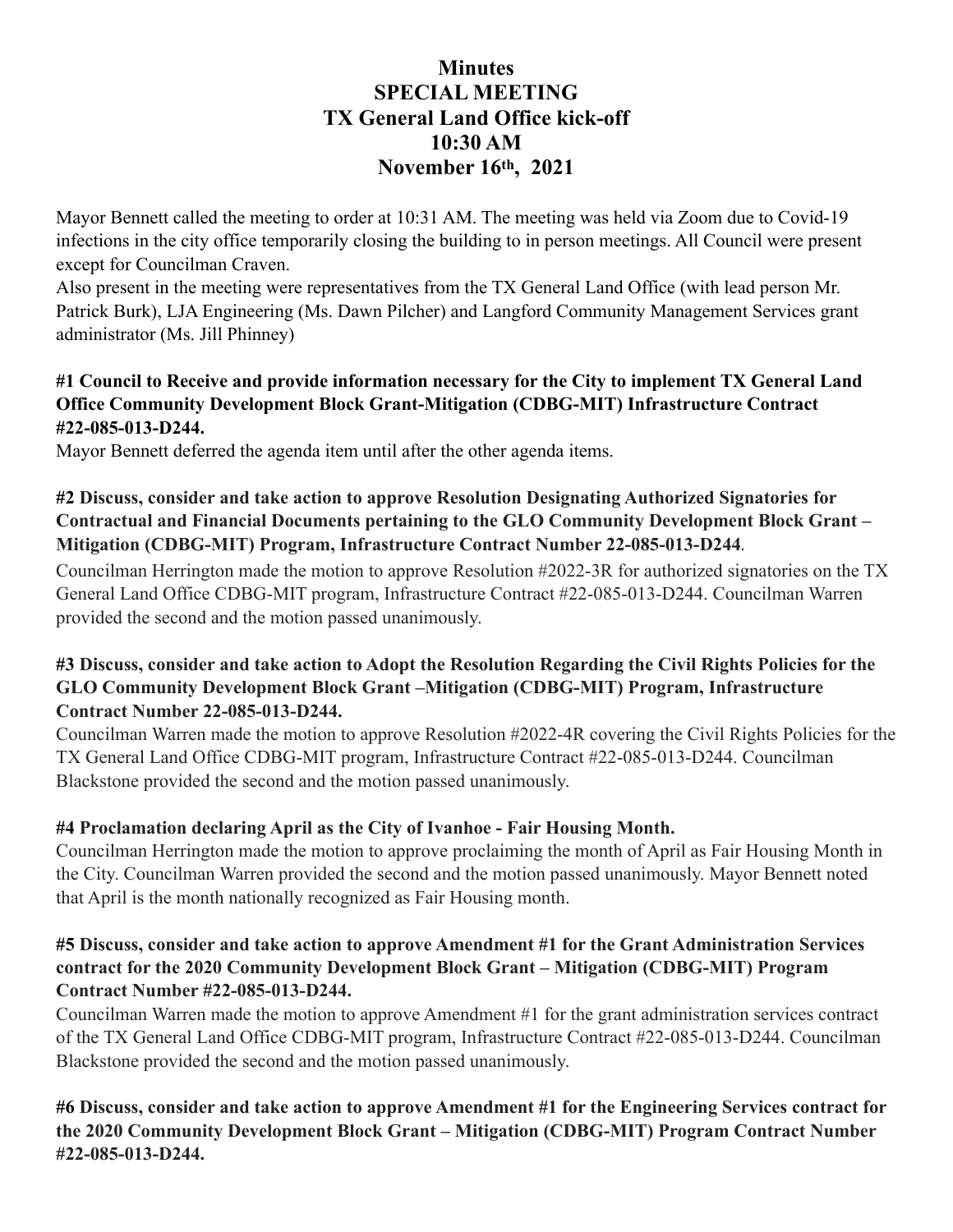# **Minutes SPECIAL MEETING TX General Land Office kick-off 10:30 AM November 16th, 2021**

Mayor Bennett called the meeting to order at 10:31 AM. The meeting was held via Zoom due to Covid-19 infections in the city office temporarily closing the building to in person meetings. All Council were present except for Councilman Craven.

Also present in the meeting were representatives from the TX General Land Office (with lead person Mr. Patrick Burk), LJA Engineering (Ms. Dawn Pilcher) and Langford Community Management Services grant administrator (Ms. Jill Phinney)

#### **#1 Council to Receive and provide information necessary for the City to implement TX General Land Office Community Development Block Grant-Mitigation (CDBG-MIT) Infrastructure Contract #22-085-013-D244.**

Mayor Bennett deferred the agenda item until after the other agenda items.

#### **#2 Discuss, consider and take action to approve Resolution Designating Authorized Signatories for Contractual and Financial Documents pertaining to the GLO Community Development Block Grant – Mitigation (CDBG-MIT) Program, Infrastructure Contract Number 22-085-013-D244***.*

Councilman Herrington made the motion to approve Resolution #2022-3R for authorized signatories on the TX General Land Office CDBG-MIT program, Infrastructure Contract #22-085-013-D244. Councilman Warren provided the second and the motion passed unanimously.

#### **#3 Discuss, consider and take action to Adopt the Resolution Regarding the Civil Rights Policies for the GLO Community Development Block Grant –Mitigation (CDBG-MIT) Program, Infrastructure Contract Number 22-085-013-D244.**

Councilman Warren made the motion to approve Resolution #2022-4R covering the Civil Rights Policies for the TX General Land Office CDBG-MIT program, Infrastructure Contract #22-085-013-D244. Councilman Blackstone provided the second and the motion passed unanimously.

#### **#4 Proclamation declaring April as the City of Ivanhoe - Fair Housing Month.**

Councilman Herrington made the motion to approve proclaiming the month of April as Fair Housing Month in the City. Councilman Warren provided the second and the motion passed unanimously. Mayor Bennett noted that April is the month nationally recognized as Fair Housing month.

#### **#5 Discuss, consider and take action to approve Amendment #1 for the Grant Administration Services contract for the 2020 Community Development Block Grant – Mitigation (CDBG-MIT) Program Contract Number #22-085-013-D244.**

Councilman Warren made the motion to approve Amendment #1 for the grant administration services contract of the TX General Land Office CDBG-MIT program, Infrastructure Contract #22-085-013-D244. Councilman Blackstone provided the second and the motion passed unanimously.

**#6 Discuss, consider and take action to approve Amendment #1 for the Engineering Services contract for the 2020 Community Development Block Grant – Mitigation (CDBG-MIT) Program Contract Number #22-085-013-D244.**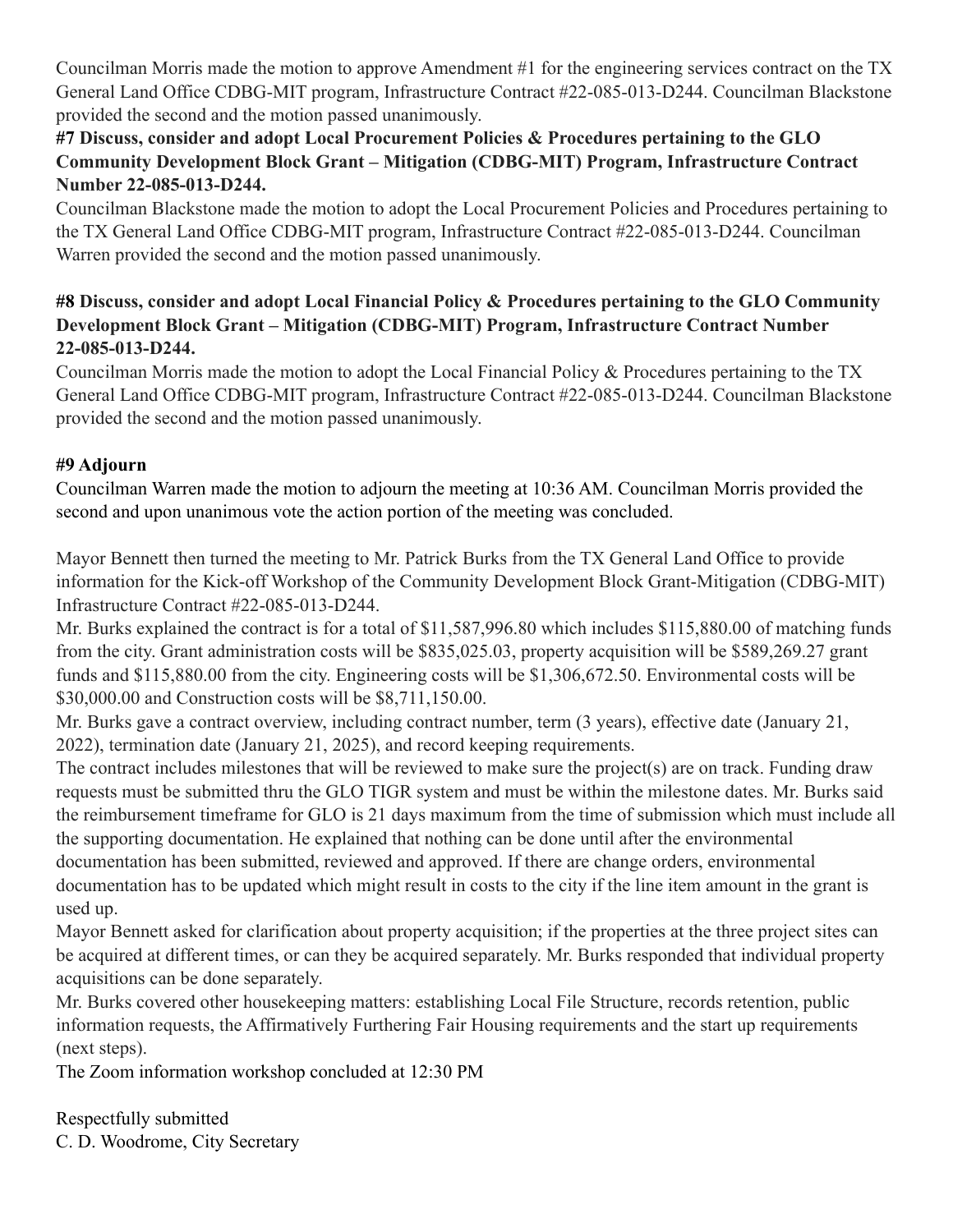Councilman Morris made the motion to approve Amendment #1 for the engineering services contract on the TX General Land Office CDBG-MIT program, Infrastructure Contract #22-085-013-D244. Councilman Blackstone provided the second and the motion passed unanimously.

## **#7 Discuss, consider and adopt Local Procurement Policies & Procedures pertaining to the GLO Community Development Block Grant – Mitigation (CDBG-MIT) Program, Infrastructure Contract Number 22-085-013-D244.**

Councilman Blackstone made the motion to adopt the Local Procurement Policies and Procedures pertaining to the TX General Land Office CDBG-MIT program, Infrastructure Contract #22-085-013-D244. Councilman Warren provided the second and the motion passed unanimously.

## **#8 Discuss, consider and adopt Local Financial Policy & Procedures pertaining to the GLO Community Development Block Grant – Mitigation (CDBG-MIT) Program, Infrastructure Contract Number 22-085-013-D244.**

Councilman Morris made the motion to adopt the Local Financial Policy & Procedures pertaining to the TX General Land Office CDBG-MIT program, Infrastructure Contract #22-085-013-D244. Councilman Blackstone provided the second and the motion passed unanimously.

## **#9 Adjourn**

Councilman Warren made the motion to adjourn the meeting at 10:36 AM. Councilman Morris provided the second and upon unanimous vote the action portion of the meeting was concluded.

Mayor Bennett then turned the meeting to Mr. Patrick Burks from the TX General Land Office to provide information for the Kick-off Workshop of the Community Development Block Grant-Mitigation (CDBG-MIT) Infrastructure Contract #22-085-013-D244.

Mr. Burks explained the contract is for a total of \$11,587,996.80 which includes \$115,880.00 of matching funds from the city. Grant administration costs will be \$835,025.03, property acquisition will be \$589,269.27 grant funds and \$115,880.00 from the city. Engineering costs will be \$1,306,672.50. Environmental costs will be \$30,000.00 and Construction costs will be \$8,711,150.00.

Mr. Burks gave a contract overview, including contract number, term (3 years), effective date (January 21, 2022), termination date (January 21, 2025), and record keeping requirements.

The contract includes milestones that will be reviewed to make sure the project(s) are on track. Funding draw requests must be submitted thru the GLO TIGR system and must be within the milestone dates. Mr. Burks said the reimbursement timeframe for GLO is 21 days maximum from the time of submission which must include all the supporting documentation. He explained that nothing can be done until after the environmental documentation has been submitted, reviewed and approved. If there are change orders, environmental documentation has to be updated which might result in costs to the city if the line item amount in the grant is used up.

Mayor Bennett asked for clarification about property acquisition; if the properties at the three project sites can be acquired at different times, or can they be acquired separately. Mr. Burks responded that individual property acquisitions can be done separately.

Mr. Burks covered other housekeeping matters: establishing Local File Structure, records retention, public information requests, the Affirmatively Furthering Fair Housing requirements and the start up requirements (next steps).

The Zoom information workshop concluded at 12:30 PM

Respectfully submitted C. D. Woodrome, City Secretary